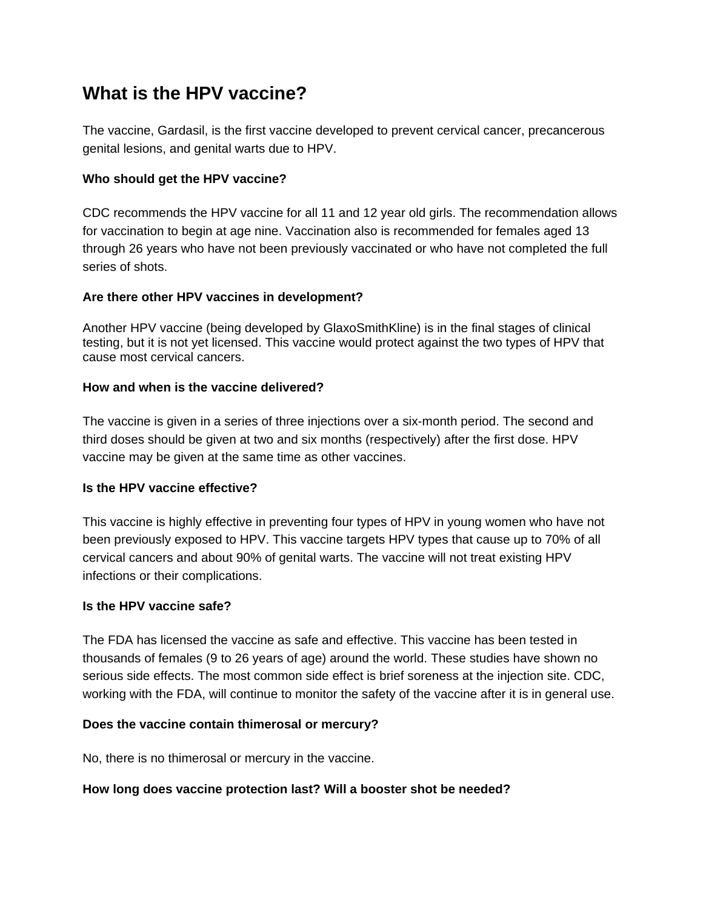# **What is the HPV vaccine?**

The vaccine, Gardasil, is the first vaccine developed to prevent cervical cancer, precancerous genital lesions, and genital warts due to HPV.

# **Who should get the HPV vaccine?**

CDC recommends the HPV vaccine for all 11 and 12 year old girls. The recommendation allows for vaccination to begin at age nine. Vaccination also is recommended for females aged 13 through 26 years who have not been previously vaccinated or who have not completed the full series of shots.

## **Are there other HPV vaccines in development?**

Another HPV vaccine (being developed by GlaxoSmithKline) is in the final stages of clinical testing, but it is not yet licensed. This vaccine would protect against the two types of HPV that cause most cervical cancers.

## **How and when is the vaccine delivered?**

The vaccine is given in a series of three injections over a six-month period. The second and third doses should be given at two and six months (respectively) after the first dose. HPV vaccine may be given at the same time as other vaccines.

### **Is the HPV vaccine effective?**

This vaccine is highly effective in preventing four types of HPV in young women who have not been previously exposed to HPV. This vaccine targets HPV types that cause up to 70% of all cervical cancers and about 90% of genital warts. The vaccine will not treat existing HPV infections or their complications.

### **Is the HPV vaccine safe?**

The FDA has licensed the vaccine as safe and effective. This vaccine has been tested in thousands of females (9 to 26 years of age) around the world. These studies have shown no serious side effects. The most common side effect is brief soreness at the injection site. CDC, working with the FDA, will continue to monitor the safety of the vaccine after it is in general use.

### **Does the vaccine contain thimerosal or mercury?**

No, there is no thimerosal or mercury in the vaccine.

# **How long does vaccine protection last? Will a booster shot be needed?**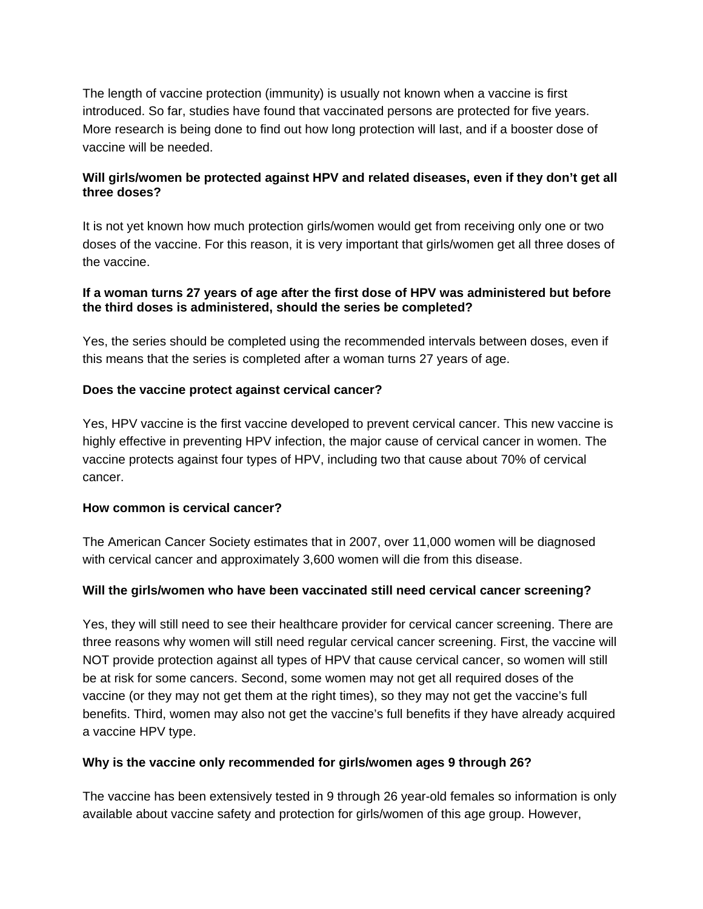The length of vaccine protection (immunity) is usually not known when a vaccine is first introduced. So far, studies have found that vaccinated persons are protected for five years. More research is being done to find out how long protection will last, and if a booster dose of vaccine will be needed.

#### **Will girls/women be protected against HPV and related diseases, even if they don't get all three doses?**

It is not yet known how much protection girls/women would get from receiving only one or two doses of the vaccine. For this reason, it is very important that girls/women get all three doses of the vaccine.

### **If a woman turns 27 years of age after the first dose of HPV was administered but before the third doses is administered, should the series be completed?**

Yes, the series should be completed using the recommended intervals between doses, even if this means that the series is completed after a woman turns 27 years of age.

### **Does the vaccine protect against cervical cancer?**

Yes, HPV vaccine is the first vaccine developed to prevent cervical cancer. This new vaccine is highly effective in preventing HPV infection, the major cause of cervical cancer in women. The vaccine protects against four types of HPV, including two that cause about 70% of cervical cancer.

#### **How common is cervical cancer?**

The American Cancer Society estimates that in 2007, over 11,000 women will be diagnosed with cervical cancer and approximately 3,600 women will die from this disease.

### **Will the girls/women who have been vaccinated still need cervical cancer screening?**

Yes, they will still need to see their healthcare provider for cervical cancer screening. There are three reasons why women will still need regular cervical cancer screening. First, the vaccine will NOT provide protection against all types of HPV that cause cervical cancer, so women will still be at risk for some cancers. Second, some women may not get all required doses of the vaccine (or they may not get them at the right times), so they may not get the vaccine's full benefits. Third, women may also not get the vaccine's full benefits if they have already acquired a vaccine HPV type.

#### **Why is the vaccine only recommended for girls/women ages 9 through 26?**

The vaccine has been extensively tested in 9 through 26 year-old females so information is only available about vaccine safety and protection for girls/women of this age group. However,